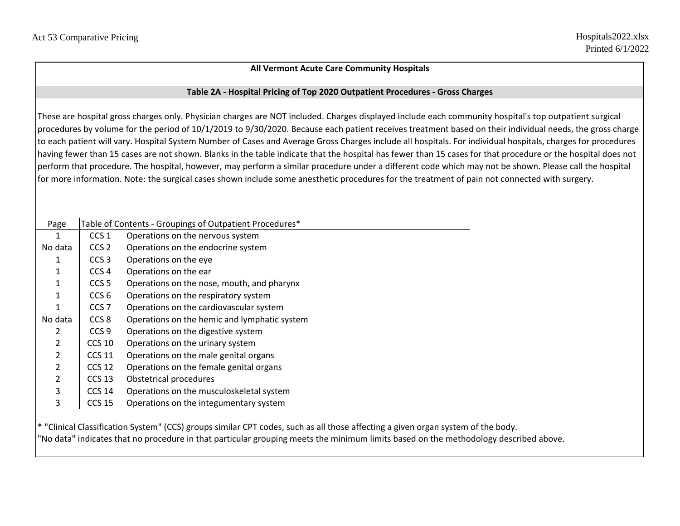# **All Vermont Acute Care Community Hospitals**

## **Table 2A - Hospital Pricing of Top 2020 Outpatient Procedures - Gross Charges**

These are hospital gross charges only. Physician charges are NOT included. Charges displayed include each community hospital's top outpatient surgical procedures by volume for the period of 10/1/2019 to 9/30/2020. Because each patient receives treatment based on their individual needs, the gross charge to each patient will vary. Hospital System Number of Cases and Average Gross Charges include all hospitals. For individual hospitals, charges for procedures having fewer than 15 cases are not shown. Blanks in the table indicate that the hospital has fewer than 15 cases for that procedure or the hospital does not perform that procedure. The hospital, however, may perform a similar procedure under a different code which may not be shown. Please call the hospital for more information. Note: the surgical cases shown include some anesthetic procedures for the treatment of pain not connected with surgery.

| Page           |                   | Table of Contents - Groupings of Outpatient Procedures*                                                  |
|----------------|-------------------|----------------------------------------------------------------------------------------------------------|
| 1              | CCS <sub>1</sub>  | Operations on the nervous system                                                                         |
| No data        | CCS <sub>2</sub>  | Operations on the endocrine system                                                                       |
| 1              | CCS <sub>3</sub>  | Operations on the eye                                                                                    |
| 1              | CCS <sub>4</sub>  | Operations on the ear                                                                                    |
| $\mathbf 1$    | CCS <sub>5</sub>  | Operations on the nose, mouth, and pharynx                                                               |
| 1              | CCS <sub>6</sub>  | Operations on the respiratory system                                                                     |
| 1              | CCS <sub>7</sub>  | Operations on the cardiovascular system                                                                  |
| No data        | CCS <sub>8</sub>  | Operations on the hemic and lymphatic system                                                             |
| 2              | CCS <sub>9</sub>  | Operations on the digestive system                                                                       |
| $\overline{2}$ | $CCS$ 10          | Operations on the urinary system                                                                         |
| $\overline{2}$ | <b>CCS 11</b>     | Operations on the male genital organs                                                                    |
| $\overline{2}$ | CCS <sub>12</sub> | Operations on the female genital organs                                                                  |
| $\overline{2}$ | CCS <sub>13</sub> | Obstetrical procedures                                                                                   |
| 3              | <b>CCS 14</b>     | Operations on the musculoskeletal system                                                                 |
| 3              | <b>CCS 15</b>     | Operations on the integumentary system                                                                   |
|                |                   | $*$ "Clinical Classification Custom" (CCC) groups similar CDT sodes, such as all those offecting a given |

'Clinical Classification System" (CCS) groups similar CPT codes, such as all those affecting a given organ system of the body. "No data" indicates that no procedure in that particular grouping meets the minimum limits based on the methodology described above.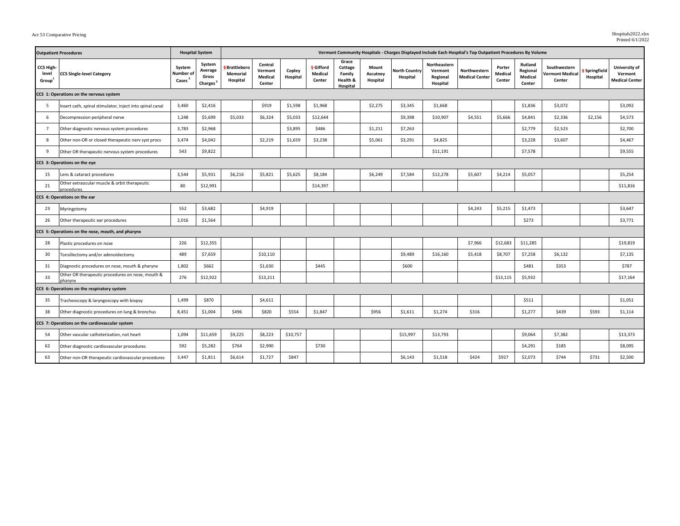### Act 53 Comparative Pricing **Exercise 2022.xlsx** Hospitals2022.xlsx

| <b>Outpatient Procedures</b>             |                                                             | <b>Hospital System</b>                    |                                              | Vermont Community Hospitals - Charges Displayed Include Each Hospital's Top Outpatient Procedures By Volume |                                         |                    |                                       |                                                    |                               |                                  |                                                 |                                       |                             |                                          |                                                  |                         |                                                   |
|------------------------------------------|-------------------------------------------------------------|-------------------------------------------|----------------------------------------------|-------------------------------------------------------------------------------------------------------------|-----------------------------------------|--------------------|---------------------------------------|----------------------------------------------------|-------------------------------|----------------------------------|-------------------------------------------------|---------------------------------------|-----------------------------|------------------------------------------|--------------------------------------------------|-------------------------|---------------------------------------------------|
| CCS High-<br>level<br>Group <sup>+</sup> | <b>CCS Single-level Category</b>                            | System<br>Number of<br>Cases <sup>2</sup> | System<br>Average<br>Gross<br><b>Charges</b> | <b>Brattleboro</b><br>Memorial<br>Hospital                                                                  | Central<br>Vermont<br>Medical<br>Center | Copley<br>Hospital | <b>§</b> Gifford<br>Medical<br>Center | Grace<br>Cottage<br>Family<br>Health &<br>Hospital | Mount<br>Ascutney<br>Hospital | <b>North Country</b><br>Hospital | Northeastern<br>Vermont<br>Regional<br>Hospital | Northwestern<br><b>Medical Center</b> | Porter<br>Medical<br>Center | Rutland<br>Regional<br>Medical<br>Center | Southwestern<br><b>Vermont Medical</b><br>Center | Springfield<br>Hospital | University of<br>Vermont<br><b>Medical Center</b> |
|                                          | CCS 1: Operations on the nervous system                     |                                           |                                              |                                                                                                             |                                         |                    |                                       |                                                    |                               |                                  |                                                 |                                       |                             |                                          |                                                  |                         |                                                   |
| 5                                        | Insert cath, spinal stimulator, inject into spinal canal    | 3,460                                     | \$2,416                                      |                                                                                                             | \$919                                   | \$1,598            | \$1,968                               |                                                    | \$2,275                       | \$3,345                          | \$1,668                                         |                                       |                             | \$1,836                                  | \$3,072                                          |                         | \$3,092                                           |
| 6                                        | Decompression peripheral nerve                              | 1,248                                     | \$5,699                                      | \$5,033                                                                                                     | \$6,324                                 | \$5,033            | \$12,644                              |                                                    |                               | \$9,398                          | \$10,907                                        | \$4,551                               | \$5,666                     | \$4,841                                  | \$2,336                                          | \$2,156                 | \$4,573                                           |
| $\overline{7}$                           | Other diagnostic nervous system procedures                  | 3,783                                     | \$2,968                                      |                                                                                                             |                                         | \$3,895            | \$486                                 |                                                    | \$1,211                       | \$7,263                          |                                                 |                                       |                             | \$2,779                                  | \$2,523                                          |                         | \$2,700                                           |
| 8                                        | Other non-OR or closed therapeutic nerv syst procs          | 3,474                                     | \$4,042                                      |                                                                                                             | \$2,219                                 | \$1,659            | \$3,238                               |                                                    | \$5,061                       | \$3,291                          | \$4,825                                         |                                       |                             | \$3,228                                  | \$3,607                                          |                         | \$4,467                                           |
| 9                                        | Other OR therapeutic nervous system procedures              | 543                                       | \$9,822                                      |                                                                                                             |                                         |                    |                                       |                                                    |                               |                                  | \$11,191                                        |                                       |                             | \$7,578                                  |                                                  |                         | \$9,555                                           |
| CCS 3: Operations on the eye             |                                                             |                                           |                                              |                                                                                                             |                                         |                    |                                       |                                                    |                               |                                  |                                                 |                                       |                             |                                          |                                                  |                         |                                                   |
| 15                                       | Lens & cataract procedures                                  | 3,544                                     | \$5,931                                      | \$6,216                                                                                                     | \$5,821                                 | \$5,625            | \$8,184                               |                                                    | \$6,249                       | \$7,584                          | \$12,278                                        | \$5,607                               | \$4,214                     | \$5,057                                  |                                                  |                         | \$5,254                                           |
| 21                                       | Other extraocular muscle & orbit therapeutic<br>procedures  | 80                                        | \$12,991                                     |                                                                                                             |                                         |                    | \$14,397                              |                                                    |                               |                                  |                                                 |                                       |                             |                                          |                                                  |                         | \$11,816                                          |
|                                          | CCS 4: Operations on the ear                                |                                           |                                              |                                                                                                             |                                         |                    |                                       |                                                    |                               |                                  |                                                 |                                       |                             |                                          |                                                  |                         |                                                   |
| 23                                       | Myringotomy                                                 | 552                                       | \$3,682                                      |                                                                                                             | \$4,919                                 |                    |                                       |                                                    |                               |                                  |                                                 | \$4,243                               | \$5,215                     | \$1,473                                  |                                                  |                         | \$3,647                                           |
| 26                                       | Other therapeutic ear procedures                            | 2,016                                     | \$1,564                                      |                                                                                                             |                                         |                    |                                       |                                                    |                               |                                  |                                                 |                                       |                             | \$273                                    |                                                  |                         | \$3,771                                           |
|                                          | CCS 5: Operations on the nose, mouth, and pharynx           |                                           |                                              |                                                                                                             |                                         |                    |                                       |                                                    |                               |                                  |                                                 |                                       |                             |                                          |                                                  |                         |                                                   |
| 28                                       | Plastic procedures on nose                                  | 226                                       | \$12,355                                     |                                                                                                             |                                         |                    |                                       |                                                    |                               |                                  |                                                 | \$7,966                               | \$12,683                    | \$11,285                                 |                                                  |                         | \$19,819                                          |
| 30                                       | Tonsillectomy and/or adenoidectomy                          | 489                                       | \$7,659                                      |                                                                                                             | \$10,110                                |                    |                                       |                                                    |                               | \$9,489                          | \$16,160                                        | \$5,418                               | \$8,707                     | \$7,258                                  | \$6,132                                          |                         | \$7,135                                           |
| 31                                       | Diagnostic procedures on nose, mouth & pharynx              | 1,802                                     | \$662                                        |                                                                                                             | \$1,630                                 |                    | \$445                                 |                                                    |                               | \$600                            |                                                 |                                       |                             | \$481                                    | \$353                                            |                         | \$787                                             |
| 33                                       | Other OR therapeutic procedures on nose, mouth &<br>pharvnx | 276                                       | \$12,922                                     |                                                                                                             | \$13,211                                |                    |                                       |                                                    |                               |                                  |                                                 |                                       | \$13,115                    | \$5,932                                  |                                                  |                         | \$17,164                                          |
|                                          | CCS 6: Operations on the respiratory system                 |                                           |                                              |                                                                                                             |                                         |                    |                                       |                                                    |                               |                                  |                                                 |                                       |                             |                                          |                                                  |                         |                                                   |
| 35                                       | Tracheoscopy & laryngoscopy with biopsy                     | 1,499                                     | \$870                                        |                                                                                                             | \$4,611                                 |                    |                                       |                                                    |                               |                                  |                                                 |                                       |                             | \$511                                    |                                                  |                         | \$1,051                                           |
| 38                                       | Other diagnostic procedures on lung & bronchus              | 8,451                                     | \$1,004                                      | \$496                                                                                                       | \$820                                   | \$554              | \$1,847                               |                                                    | \$956                         | \$1,611                          | \$1,274                                         | \$316                                 |                             | \$1,277                                  | \$439                                            | \$593                   | \$1,114                                           |
|                                          | CCS 7: Operations on the cardiovascular system              |                                           |                                              |                                                                                                             |                                         |                    |                                       |                                                    |                               |                                  |                                                 |                                       |                             |                                          |                                                  |                         |                                                   |
| 54                                       | Other vascular catheterization, not heart                   | 1,094                                     | \$11,659                                     | \$9,225                                                                                                     | \$8,223                                 | \$10,757           |                                       |                                                    |                               | \$15,997                         | \$13,793                                        |                                       |                             | \$9,064                                  | \$7,382                                          |                         | \$13,373                                          |
| 62                                       | Other diagnostic cardiovascular procedures                  | 592                                       | \$5,282                                      | \$764                                                                                                       | \$2,990                                 |                    | \$730                                 |                                                    |                               |                                  |                                                 |                                       |                             | \$4,291                                  | \$185                                            |                         | \$8,095                                           |
| 63                                       | Other non-OR therapeutic cardiovascular procedures          | 3,447                                     | \$1,811                                      | \$6,614                                                                                                     | \$1,727                                 | \$847              |                                       |                                                    |                               | \$6,143                          | \$1,518                                         | \$424                                 | \$927                       | \$2,073                                  | \$744                                            | \$731                   | \$2,500                                           |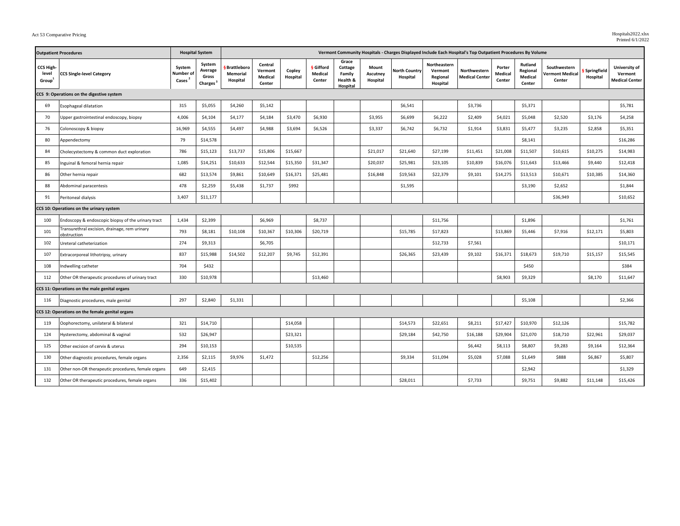### Act 53 Comparative Pricing **Exercise 2022.xlsx** Hospitals2022.xlsx

Hospitals2022.xlsx<br>Printed 6/1/2022

| <b>Outpatient Procedures</b> |                                                              |                                           | <b>Hospital System</b>                             | Vermont Community Hospitals - Charges Displayed Include Each Hospital's Top Outpatient Procedures By Volume |                                         |                    |                                       |                                                    |                               |                                  |                                                 |                                       |                             |                                          |                                           |                         |                                            |
|------------------------------|--------------------------------------------------------------|-------------------------------------------|----------------------------------------------------|-------------------------------------------------------------------------------------------------------------|-----------------------------------------|--------------------|---------------------------------------|----------------------------------------------------|-------------------------------|----------------------------------|-------------------------------------------------|---------------------------------------|-----------------------------|------------------------------------------|-------------------------------------------|-------------------------|--------------------------------------------|
| CCS High-<br>level<br>Group' | <b>CCS Single-level Category</b>                             | System<br>Number of<br>Cases <sup>2</sup> | System<br>Average<br>Gross<br>Charges <sup>®</sup> | <b>Brattleboro</b><br>Memorial<br>Hospital                                                                  | Central<br>Vermont<br>Medical<br>Center | Copley<br>Hospital | <b>§</b> Gifford<br>Medical<br>Center | Grace<br>Cottage<br>Family<br>Health &<br>Hospital | Mount<br>Ascutney<br>Hospital | <b>North Country</b><br>Hospital | Northeastern<br>Vermont<br>Regional<br>Hospital | Northwestern<br><b>Medical Center</b> | Porter<br>Medical<br>Center | Rutland<br>Regional<br>Medical<br>Center | Southwestern<br>Vermont Medical<br>Center | Springfield<br>Hospital | University of<br>Vermont<br>Medical Center |
|                              | CCS 9: Operations on the digestive system                    |                                           |                                                    |                                                                                                             |                                         |                    |                                       |                                                    |                               |                                  |                                                 |                                       |                             |                                          |                                           |                         |                                            |
| 69                           | <b>Esophageal dilatation</b>                                 | 315                                       | \$5,055                                            | \$4,260                                                                                                     | \$5,142                                 |                    |                                       |                                                    |                               | \$6,541                          |                                                 | \$3,736                               |                             | \$5,371                                  |                                           |                         | \$5,781                                    |
| 70                           | Upper gastrointestinal endoscopy, biopsy                     | 4,006                                     | \$4,104                                            | \$4,177                                                                                                     | \$4,184                                 | \$3,470            | \$6,930                               |                                                    | \$3,955                       | \$6,699                          | \$6,222                                         | \$2,409                               | \$4,021                     | \$5,048                                  | \$2,520                                   | \$3,176                 | \$4,258                                    |
| 76                           | Colonoscopy & biopsy                                         | 16,969                                    | \$4,555                                            | \$4,497                                                                                                     | \$4,988                                 | \$3,694            | \$6,526                               |                                                    | \$3,337                       | \$6,742                          | \$6,732                                         | \$1,914                               | \$3,831                     | \$5,477                                  | \$3,235                                   | \$2,858                 | \$5,351                                    |
| 80                           | Appendectomy                                                 | 79                                        | \$14,578                                           |                                                                                                             |                                         |                    |                                       |                                                    |                               |                                  |                                                 |                                       |                             | \$8,141                                  |                                           |                         | \$16,286                                   |
| 84                           | Cholecystectomy & common duct exploration                    | 786                                       | \$15,123                                           | \$13,737                                                                                                    | \$15,806                                | \$15,667           |                                       |                                                    | \$21,017                      | \$21,640                         | \$27,199                                        | \$11,451                              | \$21,008                    | \$11,507                                 | \$10,615                                  | \$10,275                | \$14,983                                   |
| 85                           | Inguinal & femoral hernia repair                             | 1,085                                     | \$14,251                                           | \$10,633                                                                                                    | \$12,544                                | \$15,350           | \$31,347                              |                                                    | \$20,037                      | \$25,981                         | \$23,105                                        | \$10,839                              | \$16,076                    | \$11,643                                 | \$13,466                                  | \$9,440                 | \$12,418                                   |
| 86                           | Other hernia repair                                          | 682                                       | \$13,574                                           | \$9,861                                                                                                     | \$10,649                                | \$16,371           | \$25,481                              |                                                    | \$16,848                      | \$19,563                         | \$22,379                                        | \$9,101                               | \$14,275                    | \$13,513                                 | \$10,671                                  | \$10,385                | \$14,360                                   |
| 88                           | Abdominal paracentesis                                       | 478                                       | \$2,259                                            | \$5,438                                                                                                     | \$1,737                                 | \$992              |                                       |                                                    |                               | \$1,595                          |                                                 |                                       |                             | \$3,190                                  | \$2,652                                   |                         | \$1,844                                    |
| 91                           | Peritoneal dialysis                                          | 3,407                                     | \$11,177                                           |                                                                                                             |                                         |                    |                                       |                                                    |                               |                                  |                                                 |                                       |                             |                                          | \$36,949                                  |                         | \$10,652                                   |
|                              | CCS 10: Operations on the urinary system                     |                                           |                                                    |                                                                                                             |                                         |                    |                                       |                                                    |                               |                                  |                                                 |                                       |                             |                                          |                                           |                         |                                            |
| 100                          | Endoscopy & endoscopic biopsy of the urinary tract           | 1,434                                     | \$2,399                                            |                                                                                                             | \$6,969                                 |                    | \$8,737                               |                                                    |                               |                                  | \$11,756                                        |                                       |                             | \$1,896                                  |                                           |                         | \$1,761                                    |
| 101                          | Transurethral excision, drainage, rem urinary<br>obstruction | 793                                       | \$8,181                                            | \$10,108                                                                                                    | \$10,367                                | \$10,306           | \$20,719                              |                                                    |                               | \$15,785                         | \$17,823                                        |                                       | \$13,869                    | \$5,446                                  | \$7,916                                   | \$12,171                | \$5,803                                    |
| 102                          | Ureteral catheterization                                     | 274                                       | \$9,313                                            |                                                                                                             | \$6,705                                 |                    |                                       |                                                    |                               |                                  | \$12,733                                        | \$7,561                               |                             |                                          |                                           |                         | \$10,171                                   |
| 107                          | Extracorporeal lithotripsy, urinary                          | 837                                       | \$15,988                                           | \$14,502                                                                                                    | \$12,207                                | \$9,745            | \$12,391                              |                                                    |                               | \$26,365                         | \$23,439                                        | \$9,102                               | \$16,371                    | \$18,673                                 | \$19,710                                  | \$15,157                | \$15,545                                   |
| 108                          | Indwelling catheter                                          | 704                                       | \$432                                              |                                                                                                             |                                         |                    |                                       |                                                    |                               |                                  |                                                 |                                       |                             | \$450                                    |                                           |                         | \$384                                      |
| 112                          | Other OR therapeutic procedures of urinary tract             | 330                                       | \$10,978                                           |                                                                                                             |                                         |                    | \$13,460                              |                                                    |                               |                                  |                                                 |                                       | \$8,903                     | \$9,329                                  |                                           | \$8,170                 | \$11,647                                   |
|                              | CCS 11: Operations on the male genital organs                |                                           |                                                    |                                                                                                             |                                         |                    |                                       |                                                    |                               |                                  |                                                 |                                       |                             |                                          |                                           |                         |                                            |
| 116                          | Diagnostic procedures, male genital                          | 297                                       | \$2,840                                            | \$1,331                                                                                                     |                                         |                    |                                       |                                                    |                               |                                  |                                                 |                                       |                             | \$5,108                                  |                                           |                         | \$2,366                                    |
|                              | CCS 12: Operations on the female genital organs              |                                           |                                                    |                                                                                                             |                                         |                    |                                       |                                                    |                               |                                  |                                                 |                                       |                             |                                          |                                           |                         |                                            |
| 119                          | Oophorectomy, unilateral & bilateral                         | 321                                       | \$14,710                                           |                                                                                                             |                                         | \$14,058           |                                       |                                                    |                               | \$14,573                         | \$22,651                                        | \$8,211                               | \$17,427                    | \$10,970                                 | \$12,126                                  |                         | \$15,782                                   |
| 124                          | Hysterectomy, abdominal & vaginal                            | 532                                       | \$26,947                                           |                                                                                                             |                                         | \$23,321           |                                       |                                                    |                               | \$29,184                         | \$42,750                                        | \$16,188                              | \$29,904                    | \$21,070                                 | \$18,710                                  | \$22,961                | \$29,037                                   |
| 125                          | Other excision of cervix & uterus                            | 294                                       | \$10,153                                           |                                                                                                             |                                         | \$10,535           |                                       |                                                    |                               |                                  |                                                 | \$6,442                               | \$8,113                     | \$8,807                                  | \$9,283                                   | \$9,164                 | \$12,364                                   |
| 130                          | Other diagnostic procedures, female organs                   | 2,356                                     | \$2,115                                            | \$9,976                                                                                                     | \$1,472                                 |                    | \$12,256                              |                                                    |                               | \$9,334                          | \$11,094                                        | \$5,028                               | \$7,088                     | \$1,649                                  | \$888                                     | \$6,867                 | \$5,807                                    |
| 131                          | Other non-OR therapeutic procedures, female organs           | 649                                       | \$2,415                                            |                                                                                                             |                                         |                    |                                       |                                                    |                               |                                  |                                                 |                                       |                             | \$2,942                                  |                                           |                         | \$1,329                                    |
| 132                          | Other OR therapeutic procedures, female organs               | 336                                       | \$15,402                                           |                                                                                                             |                                         |                    |                                       |                                                    |                               | \$28,011                         |                                                 | \$7,733                               |                             | \$9,751                                  | \$9,882                                   | \$11,148                | \$15,426                                   |